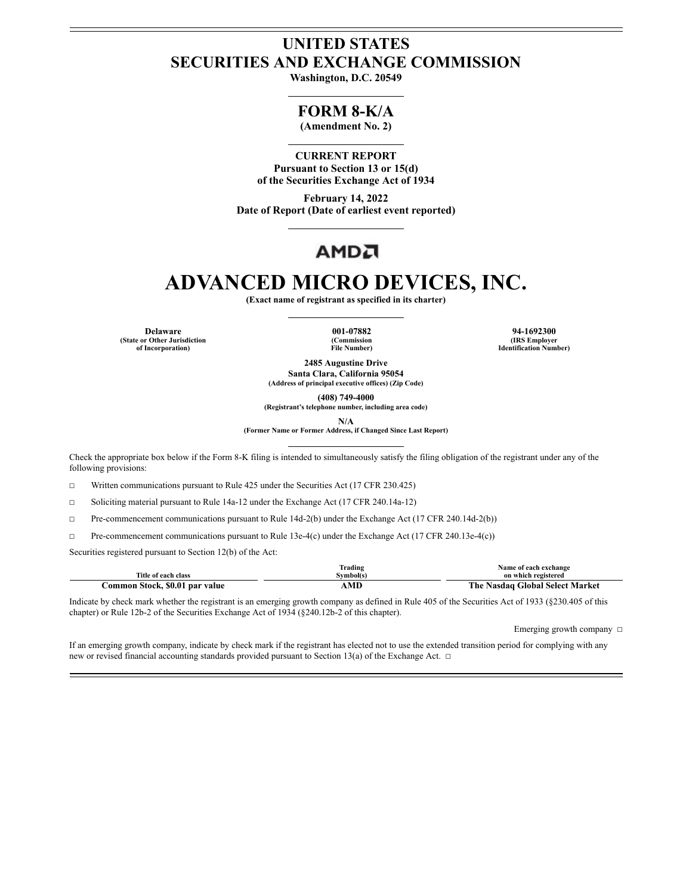# **UNITED STATES SECURITIES AND EXCHANGE COMMISSION**

**Washington, D.C. 20549**

# **FORM 8-K/A**

**(Amendment No. 2)**

**CURRENT REPORT Pursuant to Section 13 or 15(d) of the Securities Exchange Act of 1934**

**February 14, 2022 Date of Report (Date of earliest event reported)**

# АМDЛ

# **ADVANCED MICRO DEVICES, INC.**

**(Exact name of registrant as specified in its charter)**

**Delaware 001-07882 94-1692300 (State or Other Jurisdiction of Incorporation)**

**(Commission File Number)**

**(IRS Employer Identification Number)**

**2485 Augustine Drive Santa Clara, California 95054 (Address of principal executive offices) (Zip Code)**

**(408) 749-4000**

**(Registrant's telephone number, including area code)**

**N/A**

**(Former Name or Former Address, if Changed Since Last Report)**

Check the appropriate box below if the Form 8-K filing is intended to simultaneously satisfy the filing obligation of the registrant under any of the following provisions:

☐ Written communications pursuant to Rule 425 under the Securities Act (17 CFR 230.425)

☐ Soliciting material pursuant to Rule 14a-12 under the Exchange Act (17 CFR 240.14a-12)

☐ Pre-commencement communications pursuant to Rule 14d-2(b) under the Exchange Act (17 CFR 240.14d-2(b))

☐ Pre-commencement communications pursuant to Rule 13e-4(c) under the Exchange Act (17 CFR 240.13e-4(c))

Securities registered pursuant to Section 12(b) of the Act:

| Title of each class            | can a<br>$\cdots$<br>Trading<br>Symbol(s | Name of each exchange<br>on which registered |
|--------------------------------|------------------------------------------|----------------------------------------------|
| Common Stock, \$0.01 par value | AML                                      | Nasdag Global Select Market<br>The .         |

Indicate by check mark whether the registrant is an emerging growth company as defined in Rule 405 of the Securities Act of 1933 (§230.405 of this chapter) or Rule 12b-2 of the Securities Exchange Act of 1934 (§240.12b-2 of this chapter).

Emerging growth company ☐

If an emerging growth company, indicate by check mark if the registrant has elected not to use the extended transition period for complying with any new or revised financial accounting standards provided pursuant to Section 13(a) of the Exchange Act. □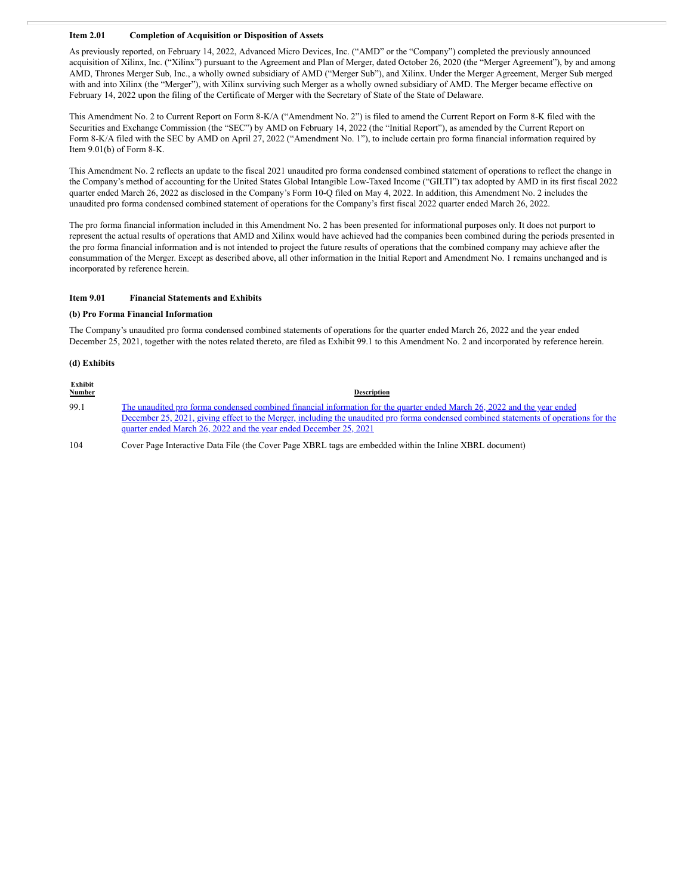# **Item 2.01 Completion of Acquisition or Disposition of Assets**

As previously reported, on February 14, 2022, Advanced Micro Devices, Inc. ("AMD" or the "Company") completed the previously announced acquisition of Xilinx, Inc. ("Xilinx") pursuant to the Agreement and Plan of Merger, dated October 26, 2020 (the "Merger Agreement"), by and among AMD, Thrones Merger Sub, Inc., a wholly owned subsidiary of AMD ("Merger Sub"), and Xilinx. Under the Merger Agreement, Merger Sub merged with and into Xilinx (the "Merger"), with Xilinx surviving such Merger as a wholly owned subsidiary of AMD. The Merger became effective on February 14, 2022 upon the filing of the Certificate of Merger with the Secretary of State of the State of Delaware.

This Amendment No. 2 to Current Report on Form 8-K/A ("Amendment No. 2") is filed to amend the Current Report on Form 8-K filed with the Securities and Exchange Commission (the "SEC") by AMD on February 14, 2022 (the "Initial Report"), as amended by the Current Report on Form 8-K/A filed with the SEC by AMD on April 27, 2022 ("Amendment No. 1"), to include certain pro forma financial information required by Item 9.01(b) of Form 8-K.

This Amendment No. 2 reflects an update to the fiscal 2021 unaudited pro forma condensed combined statement of operations to reflect the change in the Company's method of accounting for the United States Global Intangible Low-Taxed Income ("GILTI") tax adopted by AMD in its first fiscal 2022 quarter ended March 26, 2022 as disclosed in the Company's Form 10-Q filed on May 4, 2022. In addition, this Amendment No. 2 includes the unaudited pro forma condensed combined statement of operations for the Company's first fiscal 2022 quarter ended March 26, 2022.

The pro forma financial information included in this Amendment No. 2 has been presented for informational purposes only. It does not purport to represent the actual results of operations that AMD and Xilinx would have achieved had the companies been combined during the periods presented in the pro forma financial information and is not intended to project the future results of operations that the combined company may achieve after the consummation of the Merger. Except as described above, all other information in the Initial Report and Amendment No. 1 remains unchanged and is incorporated by reference herein.

## **Item 9.01 Financial Statements and Exhibits**

#### **(b) Pro Forma Financial Information**

The Company's unaudited pro forma condensed combined statements of operations for the quarter ended March 26, 2022 and the year ended December 25, 2021, together with the notes related thereto, are filed as Exhibit 99.1 to this Amendment No. 2 and incorporated by reference herein.

## **(d) Exhibits**

| Exhibit<br><b>Number</b> | <b>Description</b>                                                                                                                                                                                                                                                                                                                            |
|--------------------------|-----------------------------------------------------------------------------------------------------------------------------------------------------------------------------------------------------------------------------------------------------------------------------------------------------------------------------------------------|
| 99.1                     | The unaudited pro forma condensed combined financial information for the quarter ended March 26, 2022 and the year ended<br>December 25, 2021, giving effect to the Merger, including the unaudited pro forma condensed combined statements of operations for the<br><u>quarter ended March 26, 2022 and the year ended December 25, 2021</u> |
| 104                      | Cover Page Interactive Data File (the Cover Page XBRL tags are embedded within the Inline XBRL document)                                                                                                                                                                                                                                      |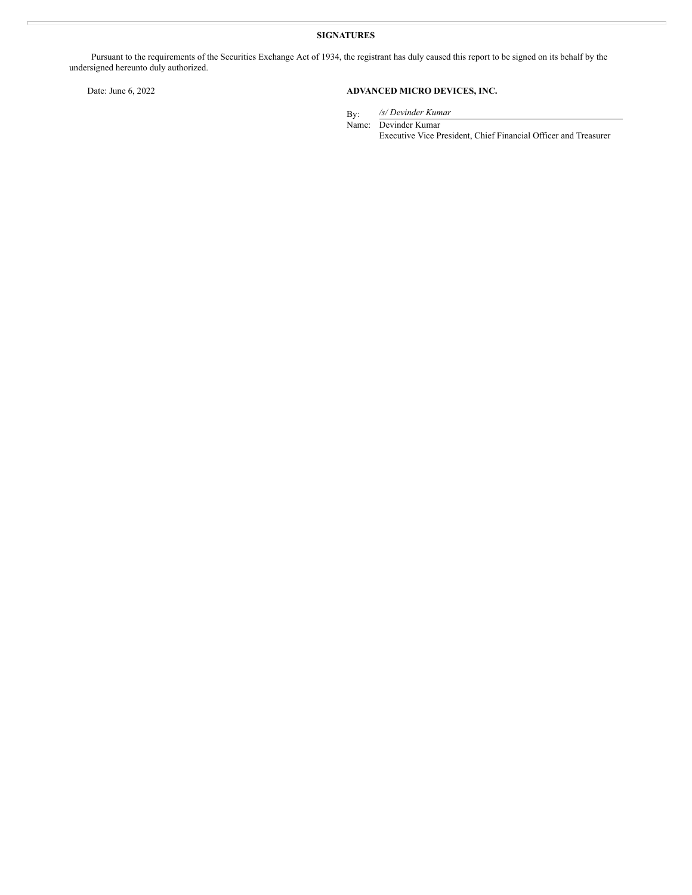# **SIGNATURES**

Pursuant to the requirements of the Securities Exchange Act of 1934, the registrant has duly caused this report to be signed on its behalf by the undersigned hereunto duly authorized.

# Date: June 6, 2022 **ADVANCED MICRO DEVICES, INC.**

By: */s/ Devinder Kumar*

Name: Devinder Kumar Executive Vice President, Chief Financial Officer and Treasurer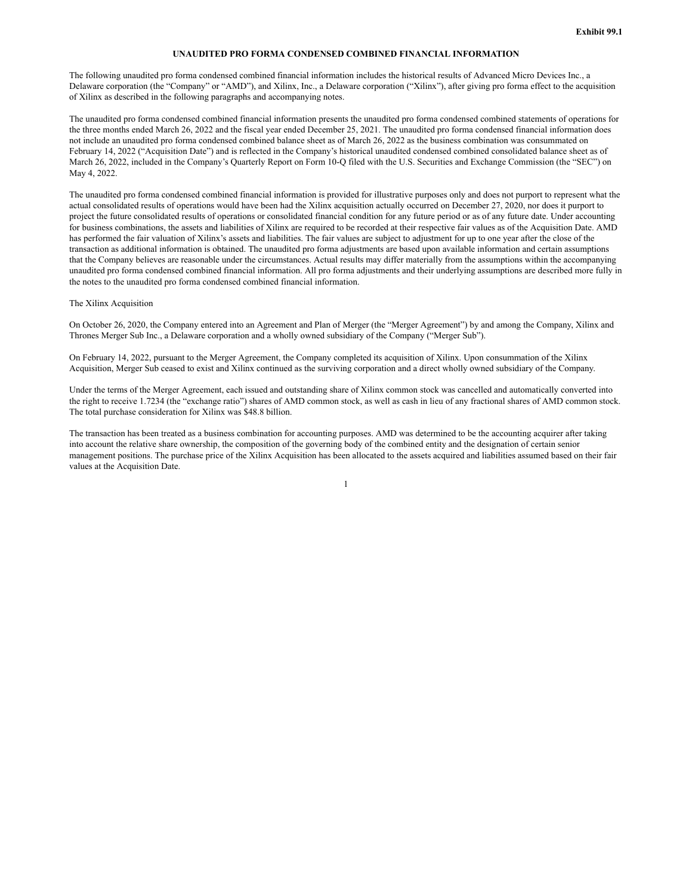## **UNAUDITED PRO FORMA CONDENSED COMBINED FINANCIAL INFORMATION**

The following unaudited pro forma condensed combined financial information includes the historical results of Advanced Micro Devices Inc., a Delaware corporation (the "Company" or "AMD"), and Xilinx, Inc., a Delaware corporation ("Xilinx"), after giving pro forma effect to the acquisition of Xilinx as described in the following paragraphs and accompanying notes.

The unaudited pro forma condensed combined financial information presents the unaudited pro forma condensed combined statements of operations for the three months ended March 26, 2022 and the fiscal year ended December 25, 2021. The unaudited pro forma condensed financial information does not include an unaudited pro forma condensed combined balance sheet as of March 26, 2022 as the business combination was consummated on February 14, 2022 ("Acquisition Date") and is reflected in the Company's historical unaudited condensed combined consolidated balance sheet as of March 26, 2022, included in the Company's Quarterly Report on Form 10-Q filed with the U.S. Securities and Exchange Commission (the "SEC") on May 4, 2022.

The unaudited pro forma condensed combined financial information is provided for illustrative purposes only and does not purport to represent what the actual consolidated results of operations would have been had the Xilinx acquisition actually occurred on December 27, 2020, nor does it purport to project the future consolidated results of operations or consolidated financial condition for any future period or as of any future date. Under accounting for business combinations, the assets and liabilities of Xilinx are required to be recorded at their respective fair values as of the Acquisition Date. AMD has performed the fair valuation of Xilinx's assets and liabilities. The fair values are subject to adjustment for up to one year after the close of the transaction as additional information is obtained. The unaudited pro forma adjustments are based upon available information and certain assumptions that the Company believes are reasonable under the circumstances. Actual results may differ materially from the assumptions within the accompanying unaudited pro forma condensed combined financial information. All pro forma adjustments and their underlying assumptions are described more fully in the notes to the unaudited pro forma condensed combined financial information.

#### The Xilinx Acquisition

On October 26, 2020, the Company entered into an Agreement and Plan of Merger (the "Merger Agreement") by and among the Company, Xilinx and Thrones Merger Sub Inc., a Delaware corporation and a wholly owned subsidiary of the Company ("Merger Sub").

On February 14, 2022, pursuant to the Merger Agreement, the Company completed its acquisition of Xilinx. Upon consummation of the Xilinx Acquisition, Merger Sub ceased to exist and Xilinx continued as the surviving corporation and a direct wholly owned subsidiary of the Company.

Under the terms of the Merger Agreement, each issued and outstanding share of Xilinx common stock was cancelled and automatically converted into the right to receive 1.7234 (the "exchange ratio") shares of AMD common stock, as well as cash in lieu of any fractional shares of AMD common stock. The total purchase consideration for Xilinx was \$48.8 billion.

The transaction has been treated as a business combination for accounting purposes. AMD was determined to be the accounting acquirer after taking into account the relative share ownership, the composition of the governing body of the combined entity and the designation of certain senior management positions. The purchase price of the Xilinx Acquisition has been allocated to the assets acquired and liabilities assumed based on their fair values at the Acquisition Date.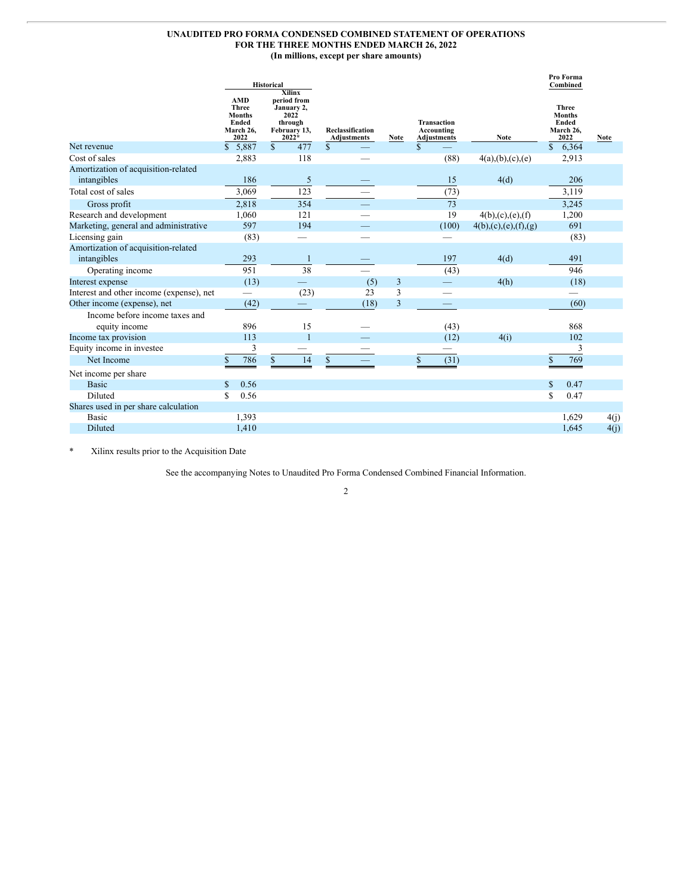# **UNAUDITED PRO FORMA CONDENSED COMBINED STATEMENT OF OPERATIONS FOR THE THREE MONTHS ENDED MARCH 26, 2022 (In millions, except per share amounts)**

|                                          |                                                                           | <b>Historical</b><br><b>Xilinx</b>                                      |                                        |                |                                                        |                      | Pro Forma<br>Combined                                       |             |
|------------------------------------------|---------------------------------------------------------------------------|-------------------------------------------------------------------------|----------------------------------------|----------------|--------------------------------------------------------|----------------------|-------------------------------------------------------------|-------------|
|                                          | <b>AMD</b><br><b>Three</b><br><b>Months</b><br>Ended<br>March 26,<br>2022 | period from<br>January 2,<br>2022<br>through<br>February 13,<br>$2022*$ | Reclassification<br><b>Adjustments</b> | <b>Note</b>    | <b>Transaction</b><br>Accounting<br><b>Adjustments</b> | <b>Note</b>          | <b>Three</b><br><b>Months</b><br>Ended<br>March 26,<br>2022 | <b>Note</b> |
| Net revenue                              | \$<br>5,887                                                               | $\mathbb{S}$<br>477                                                     | $\mathbb{S}$                           |                | \$                                                     |                      | $\mathbf S$<br>6,364                                        |             |
| Cost of sales                            | 2,883                                                                     | 118                                                                     |                                        |                | (88)                                                   | 4(a), (b), (c), (e)  | 2,913                                                       |             |
| Amortization of acquisition-related      |                                                                           |                                                                         |                                        |                |                                                        |                      |                                                             |             |
| intangibles                              | 186                                                                       | 5                                                                       |                                        |                | 15                                                     | 4(d)                 | 206                                                         |             |
| Total cost of sales                      | 3,069                                                                     | 123                                                                     |                                        |                | (73)                                                   |                      | 3,119                                                       |             |
| Gross profit                             | 2,818                                                                     | 354                                                                     |                                        |                | 73                                                     |                      | 3,245                                                       |             |
| Research and development                 | 1,060                                                                     | 121                                                                     |                                        |                | 19                                                     | 4(b),(c),(e),(f)     | 1,200                                                       |             |
| Marketing, general and administrative    | 597                                                                       | 194                                                                     |                                        |                | (100)                                                  | 4(b),(c),(e),(f),(g) | 691                                                         |             |
| Licensing gain                           | (83)                                                                      |                                                                         |                                        |                |                                                        |                      | (83)                                                        |             |
| Amortization of acquisition-related      |                                                                           |                                                                         |                                        |                |                                                        |                      |                                                             |             |
| intangibles                              | 293                                                                       | 1                                                                       |                                        |                | 197                                                    | 4(d)                 | 491                                                         |             |
| Operating income                         | 951                                                                       | 38                                                                      |                                        |                | (43)                                                   |                      | 946                                                         |             |
| Interest expense                         | (13)                                                                      |                                                                         | (5)                                    | $\mathfrak{Z}$ | $\overline{\phantom{0}}$                               | 4(h)                 | (18)                                                        |             |
| Interest and other income (expense), net | $\overline{\phantom{0}}$                                                  | (23)                                                                    | 23                                     | 3              |                                                        |                      | $\overline{\phantom{0}}$                                    |             |
| Other income (expense), net              | (42)                                                                      |                                                                         | (18)                                   | 3              |                                                        |                      | (60)                                                        |             |
| Income before income taxes and           |                                                                           |                                                                         |                                        |                |                                                        |                      |                                                             |             |
| equity income                            | 896                                                                       | 15                                                                      |                                        |                | (43)                                                   |                      | 868                                                         |             |
| Income tax provision                     | 113                                                                       | 1                                                                       |                                        |                | (12)                                                   | 4(i)                 | 102                                                         |             |
| Equity income in investee                | 3                                                                         |                                                                         |                                        |                |                                                        |                      | 3                                                           |             |
| Net Income                               | 786<br>\$                                                                 | \$<br>14                                                                | \$                                     |                | (31)<br>\$                                             |                      | 769<br>S                                                    |             |
| Net income per share                     |                                                                           |                                                                         |                                        |                |                                                        |                      |                                                             |             |
| <b>Basic</b>                             | 0.56<br>\$                                                                |                                                                         |                                        |                |                                                        |                      | 0.47<br>\$                                                  |             |
| Diluted                                  | \$<br>0.56                                                                |                                                                         |                                        |                |                                                        |                      | \$<br>0.47                                                  |             |
| Shares used in per share calculation     |                                                                           |                                                                         |                                        |                |                                                        |                      |                                                             |             |
| Basic                                    | 1,393                                                                     |                                                                         |                                        |                |                                                        |                      | 1,629                                                       | 4(i)        |
| <b>Diluted</b>                           | 1,410                                                                     |                                                                         |                                        |                |                                                        |                      | 1,645                                                       | 4(j)        |

\* Xilinx results prior to the Acquisition Date

See the accompanying Notes to Unaudited Pro Forma Condensed Combined Financial Information.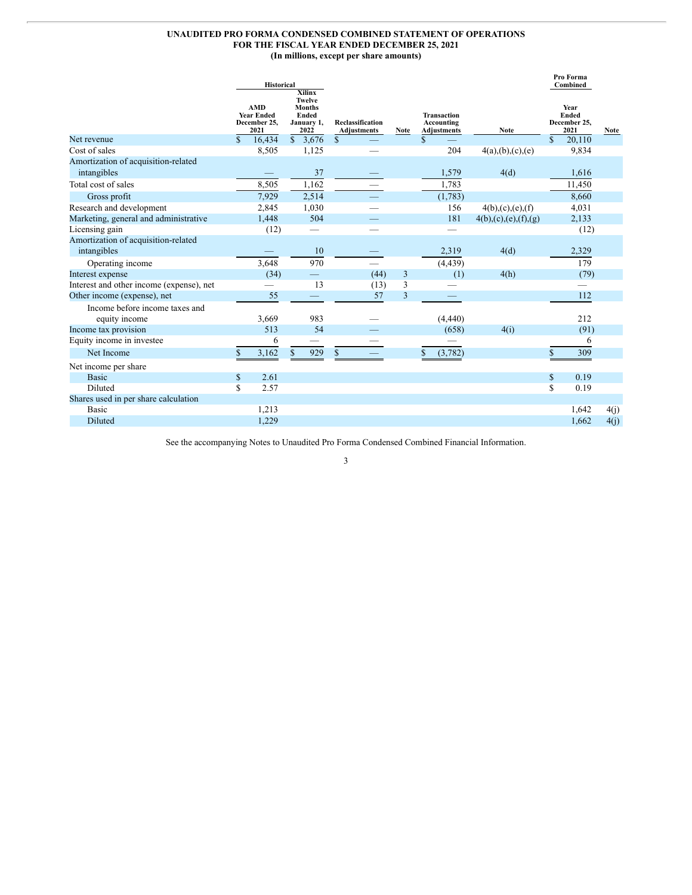# **UNAUDITED PRO FORMA CONDENSED COMBINED STATEMENT OF OPERATIONS FOR THE FISCAL YEAR ENDED DECEMBER 25, 2021 (In millions, except per share amounts)**

|                                          | <b>Historical</b>                                       |                                                                                |                                               |             |                                                 |                      | Pro Forma<br>Combined                        |             |
|------------------------------------------|---------------------------------------------------------|--------------------------------------------------------------------------------|-----------------------------------------------|-------------|-------------------------------------------------|----------------------|----------------------------------------------|-------------|
|                                          | <b>AMD</b><br><b>Year Ended</b><br>December 25.<br>2021 | <b>Xilinx</b><br><b>Twelve</b><br><b>Months</b><br>Ended<br>January 1,<br>2022 | <b>Reclassification</b><br><b>Adjustments</b> | <b>Note</b> | <b>Transaction</b><br>Accounting<br>Adjustments | <b>Note</b>          | Year<br><b>Ended</b><br>December 25.<br>2021 | <b>Note</b> |
| Net revenue                              | $\mathbf S$<br>16,434                                   | \$3,676                                                                        | $\mathbb{S}$                                  |             | $\mathbf S$                                     |                      | $\mathbf{s}$<br>20,110                       |             |
| Cost of sales                            | 8,505                                                   | 1,125                                                                          |                                               |             | 204                                             | 4(a), (b), (c), (e)  | 9,834                                        |             |
| Amortization of acquisition-related      |                                                         |                                                                                |                                               |             |                                                 |                      |                                              |             |
| intangibles                              |                                                         | 37                                                                             |                                               |             | 1,579                                           | 4(d)                 | 1,616                                        |             |
| Total cost of sales                      | 8,505                                                   | 1,162                                                                          |                                               |             | 1,783                                           |                      | 11,450                                       |             |
| Gross profit                             | 7,929                                                   | 2,514                                                                          |                                               |             | (1,783)                                         |                      | 8,660                                        |             |
| Research and development                 | 2,845                                                   | 1,030                                                                          |                                               |             | 156                                             | 4(b),(c),(e),(f)     | 4,031                                        |             |
| Marketing, general and administrative    | 1,448                                                   | 504                                                                            |                                               |             | 181                                             | 4(b),(c),(e),(f),(g) | 2,133                                        |             |
| Licensing gain                           | (12)                                                    |                                                                                |                                               |             |                                                 |                      | (12)                                         |             |
| Amortization of acquisition-related      |                                                         |                                                                                |                                               |             |                                                 |                      |                                              |             |
| intangibles                              |                                                         | 10                                                                             |                                               |             | 2,319                                           | 4(d)                 | 2,329                                        |             |
| Operating income                         | 3,648                                                   | 970                                                                            |                                               |             | (4, 439)                                        |                      | 179                                          |             |
| Interest expense                         | (34)                                                    | $\overline{\phantom{0}}$                                                       | (44)                                          | 3           | (1)                                             | 4(h)                 | (79)                                         |             |
| Interest and other income (expense), net |                                                         | 13                                                                             | (13)                                          | 3           |                                                 |                      |                                              |             |
| Other income (expense), net              | 55                                                      |                                                                                | 57                                            | 3           |                                                 |                      | 112                                          |             |
| Income before income taxes and           |                                                         |                                                                                |                                               |             |                                                 |                      |                                              |             |
| equity income                            | 3,669                                                   | 983                                                                            |                                               |             | (4,440)                                         |                      | 212                                          |             |
| Income tax provision                     | 513                                                     | 54                                                                             |                                               |             | (658)                                           | 4(i)                 | (91)                                         |             |
| Equity income in investee                | 6                                                       |                                                                                |                                               |             |                                                 |                      | 6                                            |             |
| Net Income                               | \$<br>3,162                                             | \$<br>929                                                                      | $\mathbb{S}$                                  |             | (3,782)                                         |                      | 309                                          |             |
| Net income per share                     |                                                         |                                                                                |                                               |             |                                                 |                      |                                              |             |
| <b>Basic</b>                             | $\mathbb{S}$<br>2.61                                    |                                                                                |                                               |             |                                                 |                      | $\mathbf S$<br>0.19                          |             |
| Diluted                                  | \$<br>2.57                                              |                                                                                |                                               |             |                                                 |                      | \$<br>0.19                                   |             |
| Shares used in per share calculation     |                                                         |                                                                                |                                               |             |                                                 |                      |                                              |             |
| Basic                                    | 1,213                                                   |                                                                                |                                               |             |                                                 |                      | 1,642                                        | 4(j)        |
| Diluted                                  | 1,229                                                   |                                                                                |                                               |             |                                                 |                      | 1,662                                        | 4(j)        |

See the accompanying Notes to Unaudited Pro Forma Condensed Combined Financial Information.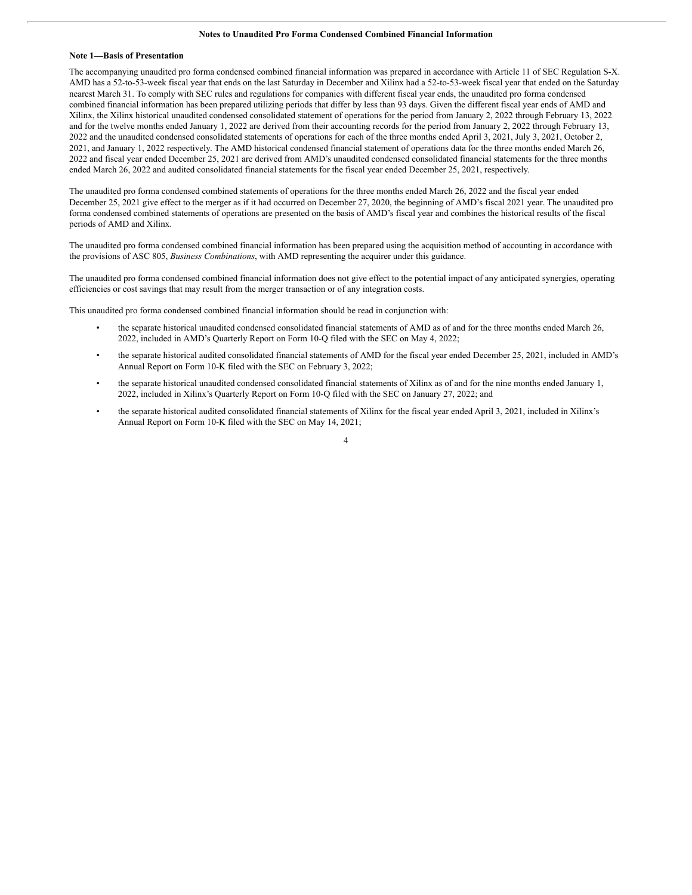#### **Notes to Unaudited Pro Forma Condensed Combined Financial Information**

#### **Note 1—Basis of Presentation**

The accompanying unaudited pro forma condensed combined financial information was prepared in accordance with Article 11 of SEC Regulation S-X. AMD has a 52-to-53-week fiscal year that ends on the last Saturday in December and Xilinx had a 52-to-53-week fiscal year that ended on the Saturday nearest March 31. To comply with SEC rules and regulations for companies with different fiscal year ends, the unaudited pro forma condensed combined financial information has been prepared utilizing periods that differ by less than 93 days. Given the different fiscal year ends of AMD and Xilinx, the Xilinx historical unaudited condensed consolidated statement of operations for the period from January 2, 2022 through February 13, 2022 and for the twelve months ended January 1, 2022 are derived from their accounting records for the period from January 2, 2022 through February 13, 2022 and the unaudited condensed consolidated statements of operations for each of the three months ended April 3, 2021, July 3, 2021, October 2, 2021, and January 1, 2022 respectively. The AMD historical condensed financial statement of operations data for the three months ended March 26, 2022 and fiscal year ended December 25, 2021 are derived from AMD's unaudited condensed consolidated financial statements for the three months ended March 26, 2022 and audited consolidated financial statements for the fiscal year ended December 25, 2021, respectively.

The unaudited pro forma condensed combined statements of operations for the three months ended March 26, 2022 and the fiscal year ended December 25, 2021 give effect to the merger as if it had occurred on December 27, 2020, the beginning of AMD's fiscal 2021 year. The unaudited pro forma condensed combined statements of operations are presented on the basis of AMD's fiscal year and combines the historical results of the fiscal periods of AMD and Xilinx.

The unaudited pro forma condensed combined financial information has been prepared using the acquisition method of accounting in accordance with the provisions of ASC 805, *Business Combinations*, with AMD representing the acquirer under this guidance.

The unaudited pro forma condensed combined financial information does not give effect to the potential impact of any anticipated synergies, operating efficiencies or cost savings that may result from the merger transaction or of any integration costs.

This unaudited pro forma condensed combined financial information should be read in conjunction with:

- the separate historical unaudited condensed consolidated financial statements of AMD as of and for the three months ended March 26, 2022, included in AMD's Quarterly Report on Form 10-Q filed with the SEC on May 4, 2022;
- the separate historical audited consolidated financial statements of AMD for the fiscal year ended December 25, 2021, included in AMD's Annual Report on Form 10-K filed with the SEC on February 3, 2022;
- the separate historical unaudited condensed consolidated financial statements of Xilinx as of and for the nine months ended January 1, 2022, included in Xilinx's Quarterly Report on Form 10-Q filed with the SEC on January 27, 2022; and
- the separate historical audited consolidated financial statements of Xilinx for the fiscal year ended April 3, 2021, included in Xilinx's Annual Report on Form 10-K filed with the SEC on May 14, 2021;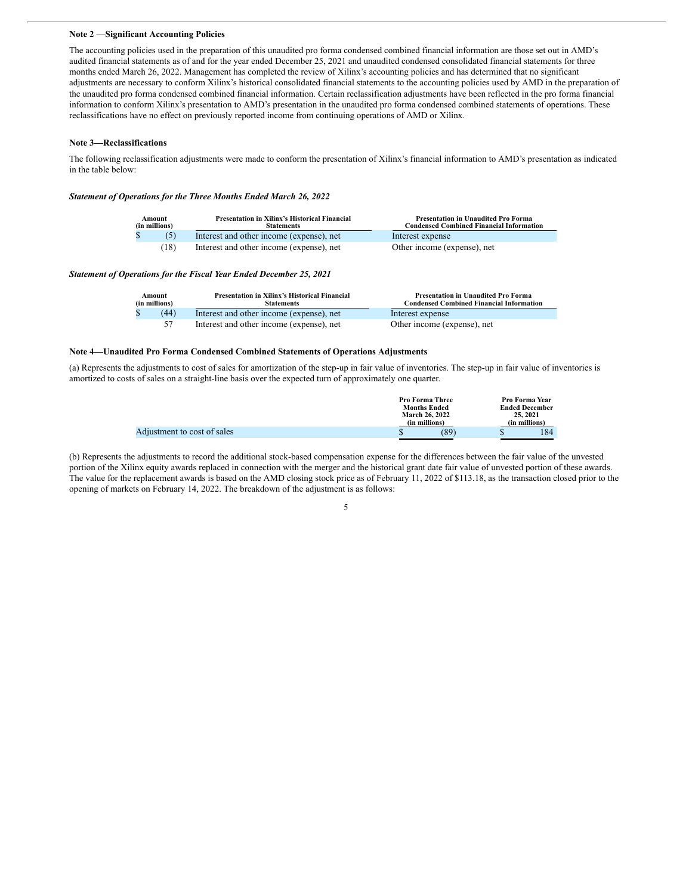#### **Note 2 —Significant Accounting Policies**

The accounting policies used in the preparation of this unaudited pro forma condensed combined financial information are those set out in AMD's audited financial statements as of and for the year ended December 25, 2021 and unaudited condensed consolidated financial statements for three months ended March 26, 2022. Management has completed the review of Xilinx's accounting policies and has determined that no significant adjustments are necessary to conform Xilinx's historical consolidated financial statements to the accounting policies used by AMD in the preparation of the unaudited pro forma condensed combined financial information. Certain reclassification adjustments have been reflected in the pro forma financial information to conform Xilinx's presentation to AMD's presentation in the unaudited pro forma condensed combined statements of operations. These reclassifications have no effect on previously reported income from continuing operations of AMD or Xilinx.

#### **Note 3—Reclassifications**

The following reclassification adjustments were made to conform the presentation of Xilinx's financial information to AMD's presentation as indicated in the table below:

#### *Statement of Operations for the Three Months Ended March 26, 2022*

| <b>Presentation in Xilinx's Historical Financial</b><br>Amount<br>(in millions)<br><b>Statements</b> |      |                                          | <b>Presentation in Unaudited Pro Forma</b><br><b>Condensed Combined Financial Information</b> |
|------------------------------------------------------------------------------------------------------|------|------------------------------------------|-----------------------------------------------------------------------------------------------|
|                                                                                                      |      | Interest and other income (expense), net | Interest expense                                                                              |
|                                                                                                      | (18) | Interest and other income (expense), net | Other income (expense), net                                                                   |

#### *Statement of Operations for the Fiscal Year Ended December 25, 2021*

| <b>Presentation in Xilinx's Historical Financial</b><br>Amount<br>(in millions)<br><b>Statements</b> |                                          | <b>Presentation in Unaudited Pro Forma</b><br><b>Condensed Combined Financial Information</b> |
|------------------------------------------------------------------------------------------------------|------------------------------------------|-----------------------------------------------------------------------------------------------|
| (44)                                                                                                 | Interest and other income (expense), net | Interest expense                                                                              |
| 57                                                                                                   | Interest and other income (expense), net | Other income (expense), net                                                                   |

#### **Note 4—Unaudited Pro Forma Condensed Combined Statements of Operations Adjustments**

(a) Represents the adjustments to cost of sales for amortization of the step-up in fair value of inventories. The step-up in fair value of inventories is amortized to costs of sales on a straight-line basis over the expected turn of approximately one quarter.

|                             | <b>Pro Forma Three</b><br><b>Months Ended</b><br><b>March 26, 2022</b><br>(in millions) | Pro Forma Year<br><b>Ended December</b><br>25, 2021<br>(in millions) |
|-----------------------------|-----------------------------------------------------------------------------------------|----------------------------------------------------------------------|
| Adjustment to cost of sales | (89)                                                                                    | 184<br>۰D                                                            |

(b) Represents the adjustments to record the additional stock-based compensation expense for the differences between the fair value of the unvested portion of the Xilinx equity awards replaced in connection with the merger and the historical grant date fair value of unvested portion of these awards. The value for the replacement awards is based on the AMD closing stock price as of February 11, 2022 of \$113.18, as the transaction closed prior to the opening of markets on February 14, 2022. The breakdown of the adjustment is as follows: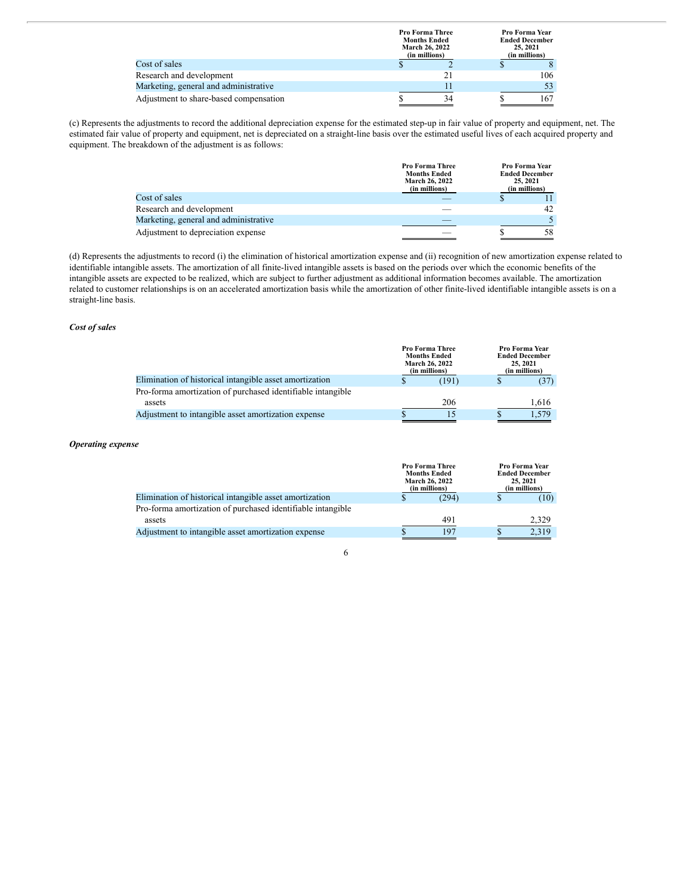|                                        | (in millions) | <b>Pro Forma Three</b><br><b>Months Ended</b><br><b>March 26, 2022</b> | Pro Forma Year<br><b>Ended December</b><br>25, 2021<br>(in millions) |     |  |
|----------------------------------------|---------------|------------------------------------------------------------------------|----------------------------------------------------------------------|-----|--|
| Cost of sales                          |               |                                                                        |                                                                      |     |  |
| Research and development               |               |                                                                        |                                                                      | 106 |  |
| Marketing, general and administrative  |               |                                                                        |                                                                      |     |  |
| Adjustment to share-based compensation |               | 34                                                                     |                                                                      | 167 |  |

(c) Represents the adjustments to record the additional depreciation expense for the estimated step-up in fair value of property and equipment, net. The estimated fair value of property and equipment, net is depreciated on a straight-line basis over the estimated useful lives of each acquired property and equipment. The breakdown of the adjustment is as follows:

|                                       | <b>Pro Forma Three</b><br><b>Months Ended</b><br><b>March 26, 2022</b><br>(in millions) | Pro Forma Year<br><b>Ended December</b><br>25, 2021<br>(in millions) |
|---------------------------------------|-----------------------------------------------------------------------------------------|----------------------------------------------------------------------|
| Cost of sales                         |                                                                                         |                                                                      |
| Research and development              |                                                                                         | 42                                                                   |
| Marketing, general and administrative |                                                                                         |                                                                      |
| Adjustment to depreciation expense    |                                                                                         | 58                                                                   |

(d) Represents the adjustments to record (i) the elimination of historical amortization expense and (ii) recognition of new amortization expense related to identifiable intangible assets. The amortization of all finite-lived intangible assets is based on the periods over which the economic benefits of the intangible assets are expected to be realized, which are subject to further adjustment as additional information becomes available. The amortization related to customer relationships is on an accelerated amortization basis while the amortization of other finite-lived identifiable intangible assets is on a straight-line basis.

## *Cost of sales*

|                                                             | <b>Pro Forma Three</b><br><b>Months Ended</b><br><b>March 26, 2022</b><br>(in millions) |   | Pro Forma Year<br><b>Ended December</b><br>25, 2021<br>(in millions) |
|-------------------------------------------------------------|-----------------------------------------------------------------------------------------|---|----------------------------------------------------------------------|
| Elimination of historical intangible asset amortization     | (191)                                                                                   | Φ | (37)                                                                 |
| Pro-forma amortization of purchased identifiable intangible |                                                                                         |   |                                                                      |
| assets                                                      | 206                                                                                     |   | 1.616                                                                |
| Adjustment to intangible asset amortization expense         |                                                                                         | D | .579                                                                 |

#### *Operating expense*

|                                                             | <b>Pro Forma Three</b><br><b>Months Ended</b><br><b>March 26, 2022</b><br>(in millions) |       | <b>Pro Forma Year</b><br><b>Ended December</b><br>25, 2021<br>(in millions) |       |  |
|-------------------------------------------------------------|-----------------------------------------------------------------------------------------|-------|-----------------------------------------------------------------------------|-------|--|
| Elimination of historical intangible asset amortization     |                                                                                         | (294) | ۰D                                                                          | (10)  |  |
| Pro-forma amortization of purchased identifiable intangible |                                                                                         |       |                                                                             |       |  |
| assets                                                      |                                                                                         | 491   |                                                                             | 2.329 |  |
| Adjustment to intangible asset amortization expense         |                                                                                         | 197   | ۰D                                                                          | 2.319 |  |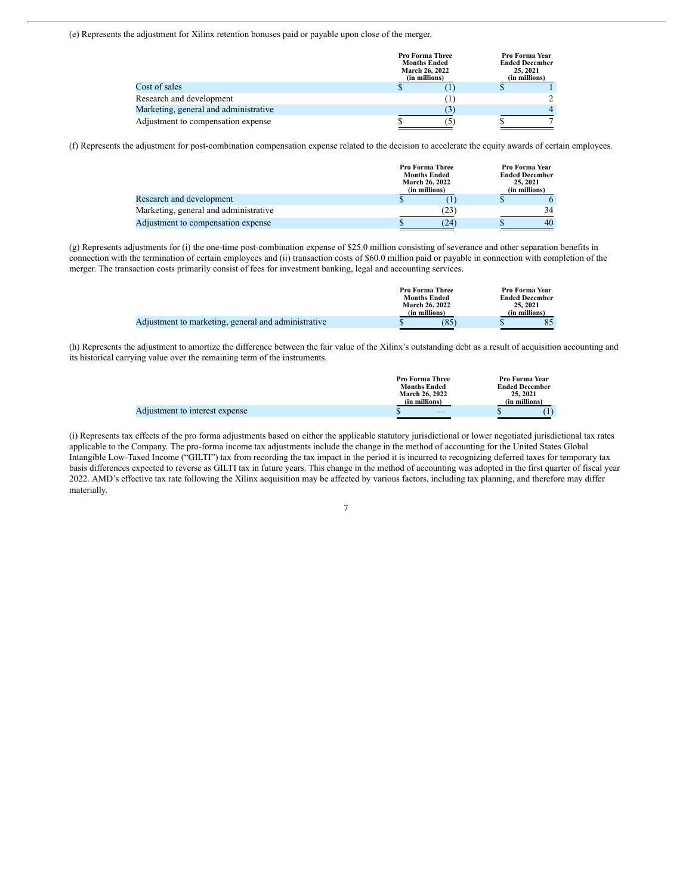(e) Represents the adjustment for Xilinx retention bonuses paid or payable upon close of the merger.

|                                       | <b>Pro Forma Three</b><br><b>Months Ended</b><br><b>March 26, 2022</b><br>(in millions) | Pro Forma Year<br><b>Ended December</b><br>25, 2021<br>(in millions) |  |
|---------------------------------------|-----------------------------------------------------------------------------------------|----------------------------------------------------------------------|--|
| Cost of sales                         |                                                                                         |                                                                      |  |
| Research and development              |                                                                                         |                                                                      |  |
| Marketing, general and administrative |                                                                                         |                                                                      |  |
| Adjustment to compensation expense    |                                                                                         |                                                                      |  |

(f) Represents the adjustment for post-combination compensation expense related to the decision to accelerate the equity awards of certain employees.

|                                       | <b>Pro Forma Three</b><br><b>Months Ended</b><br><b>March 26, 2022</b><br>(in millions) | 25, 2021<br>(in millions) | Pro Forma Year<br><b>Ended December</b> |
|---------------------------------------|-----------------------------------------------------------------------------------------|---------------------------|-----------------------------------------|
| Research and development              |                                                                                         |                           |                                         |
| Marketing, general and administrative | $23^{\circ}$                                                                            |                           | 34                                      |
| Adjustment to compensation expense    | (24)                                                                                    |                           | 40                                      |

(g) Represents adjustments for (i) the one-time post-combination expense of \$25.0 million consisting of severance and other separation benefits in connection with the termination of certain employees and (ii) transaction costs of \$60.0 million paid or payable in connection with completion of the merger. The transaction costs primarily consist of fees for investment banking, legal and accounting services.

|                                                     | <b>Pro Forma Three</b><br><b>Months Ended</b><br><b>March 26, 2022</b><br>(in millions) | Pro Forma Year<br><b>Ended December</b><br>25, 2021<br>(in millions) |
|-----------------------------------------------------|-----------------------------------------------------------------------------------------|----------------------------------------------------------------------|
| Adjustment to marketing, general and administrative | 85                                                                                      | 85                                                                   |

(h) Represents the adjustment to amortize the difference between the fair value of the Xilinx's outstanding debt as a result of acquisition accounting and its historical carrying value over the remaining term of the instruments.

|                                | <b>Pro Forma Three</b><br><b>Months Ended</b><br><b>March 26, 2022</b><br>(in millions) | Pro Forma Year<br><b>Ended December</b><br>25, 2021<br>(in millions) |
|--------------------------------|-----------------------------------------------------------------------------------------|----------------------------------------------------------------------|
| Adjustment to interest expense |                                                                                         |                                                                      |

(i) Represents tax effects of the pro forma adjustments based on either the applicable statutory jurisdictional or lower negotiated jurisdictional tax rates applicable to the Company. The pro-forma income tax adjustments include the change in the method of accounting for the United States Global Intangible Low-Taxed Income ("GILTI") tax from recording the tax impact in the period it is incurred to recognizing deferred taxes for temporary tax basis differences expected to reverse as GILTI tax in future years. This change in the method of accounting was adopted in the first quarter of fiscal year 2022. AMD's effective tax rate following the Xilinx acquisition may be affected by various factors, including tax planning, and therefore may differ materially.